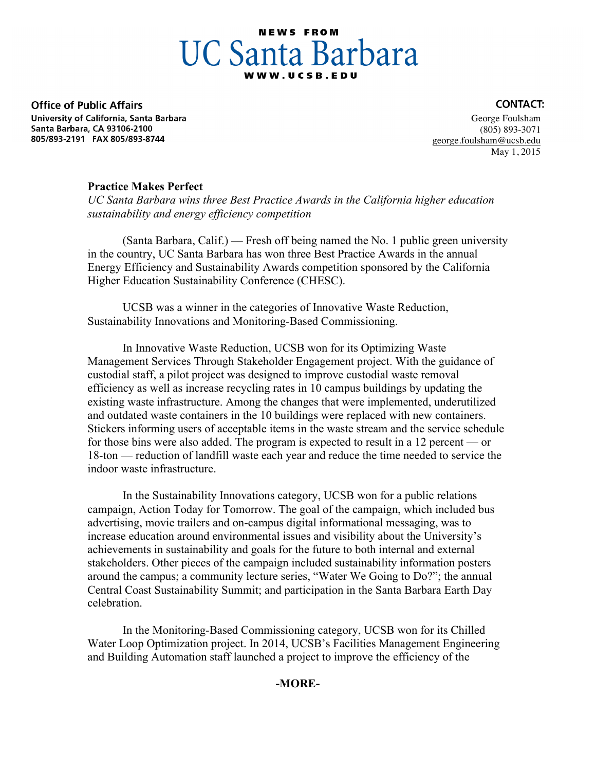# **NEWS FROM UC Santa Barbara**

**Office of Public Affairs** University of California, Santa Barbara Santa Barbara, CA 93106-2100 805/893-2191 FAX 805/893-8744

 George Foulsham (805) 893-3071 george.foulsham@ucsb.edu May 1, 2015

### **Practice Makes Perfect**

*UC Santa Barbara wins three Best Practice Awards in the California higher education sustainability and energy efficiency competition*

(Santa Barbara, Calif.) –– Fresh off being named the No. 1 public green university in the country, UC Santa Barbara has won three Best Practice Awards in the annual Energy Efficiency and Sustainability Awards competition sponsored by the California Higher Education Sustainability Conference (CHESC).

 UCSB was a winner in the categories of Innovative Waste Reduction, Sustainability Innovations and Monitoring-Based Commissioning.

 In Innovative Waste Reduction, UCSB won for its Optimizing Waste Management Services Through Stakeholder Engagement project. With the guidance of custodial staff, a pilot project was designed to improve custodial waste removal efficiency as well as increase recycling rates in 10 campus buildings by updating the existing waste infrastructure. Among the changes that were implemented, underutilized and outdated waste containers in the 10 buildings were replaced with new containers. Stickers informing users of acceptable items in the waste stream and the service schedule for those bins were also added. The program is expected to result in a 12 percent — or 18-ton — reduction of landfill waste each year and reduce the time needed to service the indoor waste infrastructure.

 In the Sustainability Innovations category, UCSB won for a public relations campaign, Action Today for Tomorrow. The goal of the campaign, which included bus advertising, movie trailers and on-campus digital informational messaging, was to increase education around environmental issues and visibility about the University's achievements in sustainability and goals for the future to both internal and external stakeholders. Other pieces of the campaign included sustainability information posters around the campus; a community lecture series, "Water We Going to Do?"; the annual Central Coast Sustainability Summit; and participation in the Santa Barbara Earth Day celebration.

 In the Monitoring-Based Commissioning category, UCSB won for its Chilled Water Loop Optimization project. In 2014, UCSB's Facilities Management Engineering and Building Automation staff launched a project to improve the efficiency of the

## **-MORE-**

#### **CONTACT:**